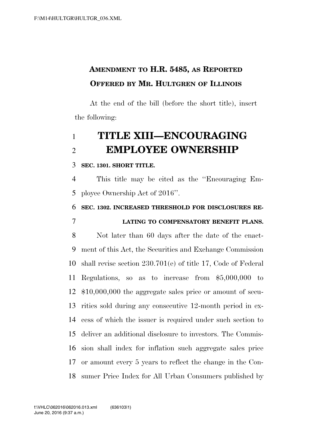## **AMENDMENT TO H.R. 5485, AS REPORTED OFFERED BY MR. HULTGREN OF ILLINOIS**

At the end of the bill (before the short title), insert the following:

## **TITLE XIII—ENCOURAGING EMPLOYEE OWNERSHIP**

**SEC. 1301. SHORT TITLE.** 

 This title may be cited as the ''Encouraging Em-ployee Ownership Act of 2016''.

**SEC. 1302. INCREASED THRESHOLD FOR DISCLOSURES RE-**

## **LATING TO COMPENSATORY BENEFIT PLANS.**

 Not later than 60 days after the date of the enact- ment of this Act, the Securities and Exchange Commission shall revise section 230.701(e) of title 17, Code of Federal Regulations, so as to increase from \$5,000,000 to \$10,000,000 the aggregate sales price or amount of secu- rities sold during any consecutive 12-month period in ex- cess of which the issuer is required under such section to deliver an additional disclosure to investors. The Commis- sion shall index for inflation such aggregate sales price or amount every 5 years to reflect the change in the Con-sumer Price Index for All Urban Consumers published by